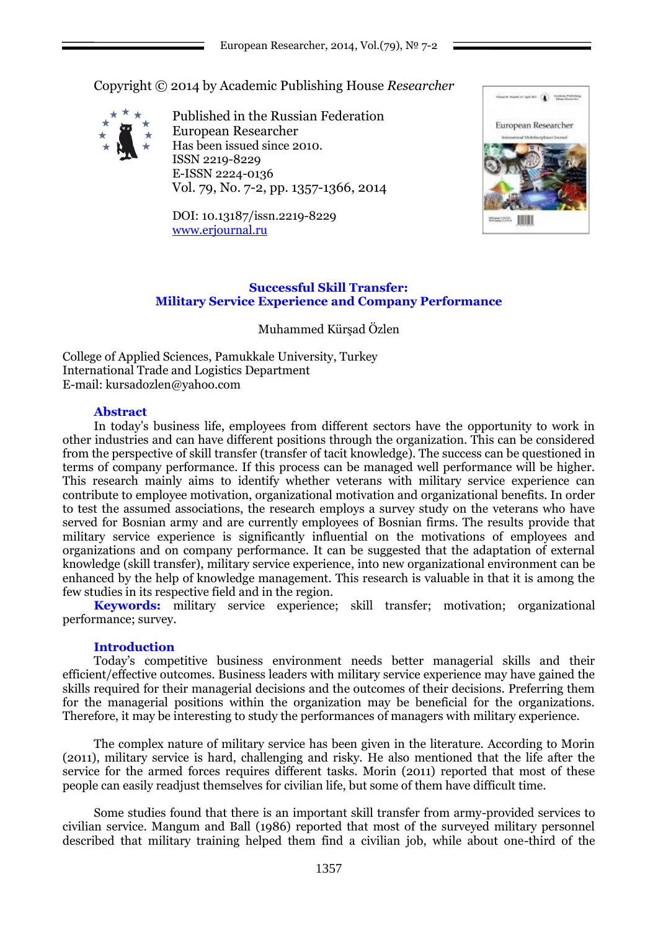Copyright © 2014 by Academic Publishing House *Researcher*



Published in the Russian Federation European Researcher Has been issued since 2010. ISSN 2219-8229 E-ISSN 2224-0136 Vol. 79, No. 7-2, pp. 1357-1366, 2014

DOI: 10.13187/issn.2219-8229 [www.erjournal.ru](http://www.erjournal.ru/)



## **Successful Skill Transfer: Military Service Experience and Company Performance**

Muhammed Kürşad Özlen

College of Applied Sciences, Pamukkale University, Turkey International Trade and Logistics Department E-mail[: kursadozlen@yahoo.com](mailto:kursadozlen@yahoo.com)

### **Abstract**

In today"s business life, employees from different sectors have the opportunity to work in other industries and can have different positions through the organization. This can be considered from the perspective of skill transfer (transfer of tacit knowledge). The success can be questioned in terms of company performance. If this process can be managed well performance will be higher. This research mainly aims to identify whether veterans with military service experience can contribute to employee motivation, organizational motivation and organizational benefits. In order to test the assumed associations, the research employs a survey study on the veterans who have served for Bosnian army and are currently employees of Bosnian firms. The results provide that military service experience is significantly influential on the motivations of employees and organizations and on company performance. It can be suggested that the adaptation of external knowledge (skill transfer), military service experience, into new organizational environment can be enhanced by the help of knowledge management. This research is valuable in that it is among the few studies in its respective field and in the region.

**Keywords:** military service experience; skill transfer; motivation; organizational performance; survey.

### **Introduction**

Today"s competitive business environment needs better managerial skills and their efficient/effective outcomes. Business leaders with military service experience may have gained the skills required for their managerial decisions and the outcomes of their decisions. Preferring them for the managerial positions within the organization may be beneficial for the organizations. Therefore, it may be interesting to study the performances of managers with military experience.

The complex nature of military service has been given in the literature. According to Morin (2011), military service is hard, challenging and risky. He also mentioned that the life after the service for the armed forces requires different tasks. Morin (2011) reported that most of these people can easily readjust themselves for civilian life, but some of them have difficult time.

Some studies found that there is an important skill transfer from army-provided services to civilian service. Mangum and Ball (1986) reported that most of the surveyed military personnel described that military training helped them find a civilian job, while about one-third of the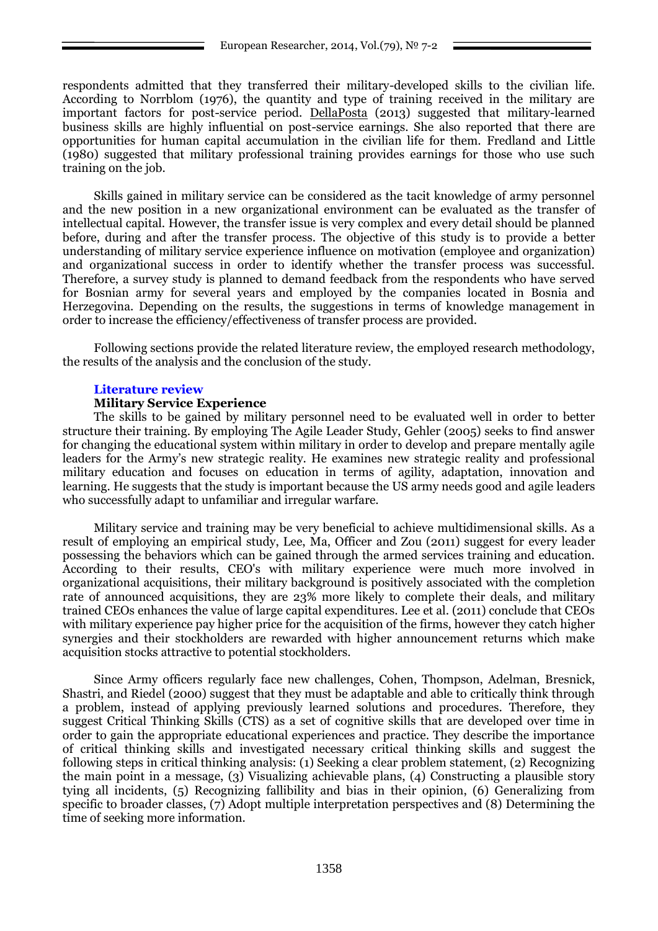respondents admitted that they transferred their military-developed skills to the civilian life. According to Norrblom (1976), the quantity and type of training received in the military are important factors for post-service period. [DellaPosta](http://www.sciencedirect.com/science/article/pii/S0276562413000371) (2013) suggested that military-learned business skills are highly influential on post-service earnings. She also reported that there are opportunities for human capital accumulation in the civilian life for them. Fredland and Little (1980) suggested that military professional training provides earnings for those who use such training on the job.

Skills gained in military service can be considered as the tacit knowledge of army personnel and the new position in a new organizational environment can be evaluated as the transfer of intellectual capital. However, the transfer issue is very complex and every detail should be planned before, during and after the transfer process. The objective of this study is to provide a better understanding of military service experience influence on motivation (employee and organization) and organizational success in order to identify whether the transfer process was successful. Therefore, a survey study is planned to demand feedback from the respondents who have served for Bosnian army for several years and employed by the companies located in Bosnia and Herzegovina. Depending on the results, the suggestions in terms of knowledge management in order to increase the efficiency/effectiveness of transfer process are provided.

Following sections provide the related literature review, the employed research methodology, the results of the analysis and the conclusion of the study.

# **Literature review**

### **Military Service Experience**

The skills to be gained by military personnel need to be evaluated well in order to better structure their training. By employing The Agile Leader Study, Gehler (2005) seeks to find answer for changing the educational system within military in order to develop and prepare mentally agile leaders for the Army's new strategic reality. He examines new strategic reality and professional military education and focuses on education in terms of agility, adaptation, innovation and learning. He suggests that the study is important because the US army needs good and agile leaders who successfully adapt to unfamiliar and irregular warfare.

Military service and training may be very beneficial to achieve multidimensional skills. As a result of employing an empirical study, Lee, Ma, Officer and Zou (2011) suggest for every leader possessing the behaviors which can be gained through the armed services training and education. According to their results, CEO's with military experience were much more involved in organizational acquisitions, their military background is positively associated with the completion rate of announced acquisitions, they are 23% more likely to complete their deals, and military trained CEOs enhances the value of large capital expenditures. Lee et al. (2011) conclude that CEOs with military experience pay higher price for the acquisition of the firms, however they catch higher synergies and their stockholders are rewarded with higher announcement returns which make acquisition stocks attractive to potential stockholders.

Since Army officers regularly face new challenges, Cohen, Thompson, Adelman, Bresnick, Shastri, and Riedel (2000) suggest that they must be adaptable and able to critically think through a problem, instead of applying previously learned solutions and procedures. Therefore, they suggest Critical Thinking Skills (CTS) as a set of cognitive skills that are developed over time in order to gain the appropriate educational experiences and practice. They describe the importance of critical thinking skills and investigated necessary critical thinking skills and suggest the following steps in critical thinking analysis: (1) Seeking a clear problem statement, (2) Recognizing the main point in a message, (3) Visualizing achievable plans, (4) Constructing a plausible story tying all incidents, (5) Recognizing fallibility and bias in their opinion, (6) Generalizing from specific to broader classes, (7) Adopt multiple interpretation perspectives and (8) Determining the time of seeking more information.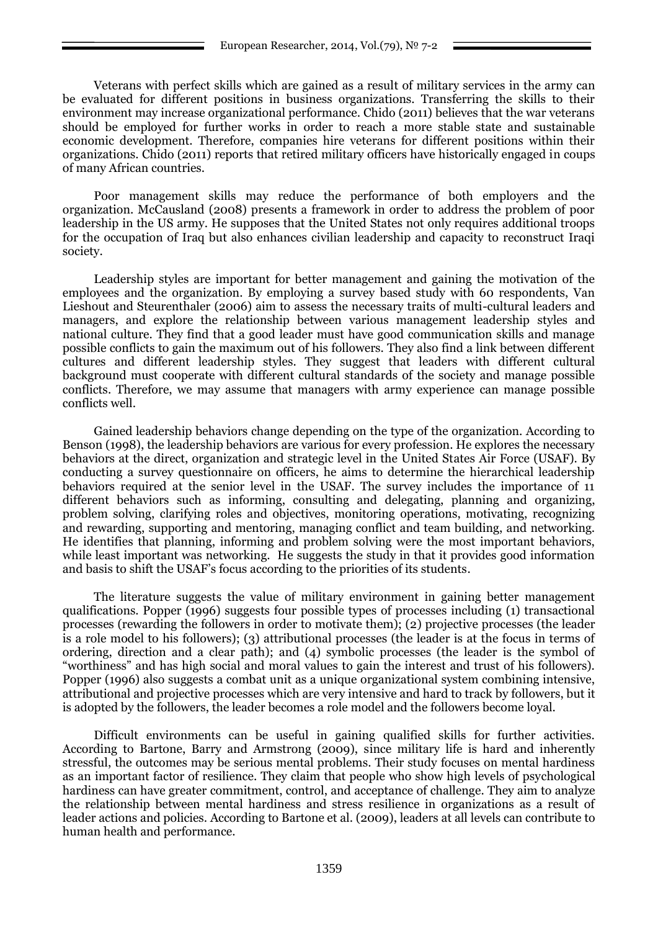Veterans with perfect skills which are gained as a result of military services in the army can be evaluated for different positions in business organizations. Transferring the skills to their environment may increase organizational performance. Chido (2011) believes that the war veterans should be employed for further works in order to reach a more stable state and sustainable economic development. Therefore, companies hire veterans for different positions within their organizations. Chido (2011) reports that retired military officers have historically engaged in coups of many African countries.

Poor management skills may reduce the performance of both employers and the organization. McCausland (2008) presents a framework in order to address the problem of poor leadership in the US army. He supposes that the United States not only requires additional troops for the occupation of Iraq but also enhances civilian leadership and capacity to reconstruct Iraqi society.

Leadership styles are important for better management and gaining the motivation of the employees and the organization. By employing a survey based study with 60 respondents, Van Lieshout and Steurenthaler (2006) aim to assess the necessary traits of multi-cultural leaders and managers, and explore the relationship between various management leadership styles and national culture. They find that a good leader must have good communication skills and manage possible conflicts to gain the maximum out of his followers. They also find a link between different cultures and different leadership styles. They suggest that leaders with different cultural background must cooperate with different cultural standards of the society and manage possible conflicts. Therefore, we may assume that managers with army experience can manage possible conflicts well.

Gained leadership behaviors change depending on the type of the organization. According to Benson (1998), the leadership behaviors are various for every profession. He explores the necessary behaviors at the direct, organization and strategic level in the United States Air Force (USAF). By conducting a survey questionnaire on officers, he aims to determine the hierarchical leadership behaviors required at the senior level in the USAF. The survey includes the importance of 11 different behaviors such as informing, consulting and delegating, planning and organizing, problem solving, clarifying roles and objectives, monitoring operations, motivating, recognizing and rewarding, supporting and mentoring, managing conflict and team building, and networking. He identifies that planning, informing and problem solving were the most important behaviors, while least important was networking. He suggests the study in that it provides good information and basis to shift the USAF"s focus according to the priorities of its students.

The literature suggests the value of military environment in gaining better management qualifications. Popper (1996) suggests four possible types of processes including (1) transactional processes (rewarding the followers in order to motivate them); (2) projective processes (the leader is a role model to his followers); (3) attributional processes (the leader is at the focus in terms of ordering, direction and a clear path); and (4) symbolic processes (the leader is the symbol of "worthiness" and has high social and moral values to gain the interest and trust of his followers). Popper (1996) also suggests a combat unit as a unique organizational system combining intensive, attributional and projective processes which are very intensive and hard to track by followers, but it is adopted by the followers, the leader becomes a role model and the followers become loyal.

Difficult environments can be useful in gaining qualified skills for further activities. According to Bartone, Barry and Armstrong (2009), since military life is hard and inherently stressful, the outcomes may be serious mental problems. Their study focuses on mental hardiness as an important factor of resilience. They claim that people who show high levels of psychological hardiness can have greater commitment, control, and acceptance of challenge. They aim to analyze the relationship between mental hardiness and stress resilience in organizations as a result of leader actions and policies. According to Bartone et al. (2009), leaders at all levels can contribute to human health and performance.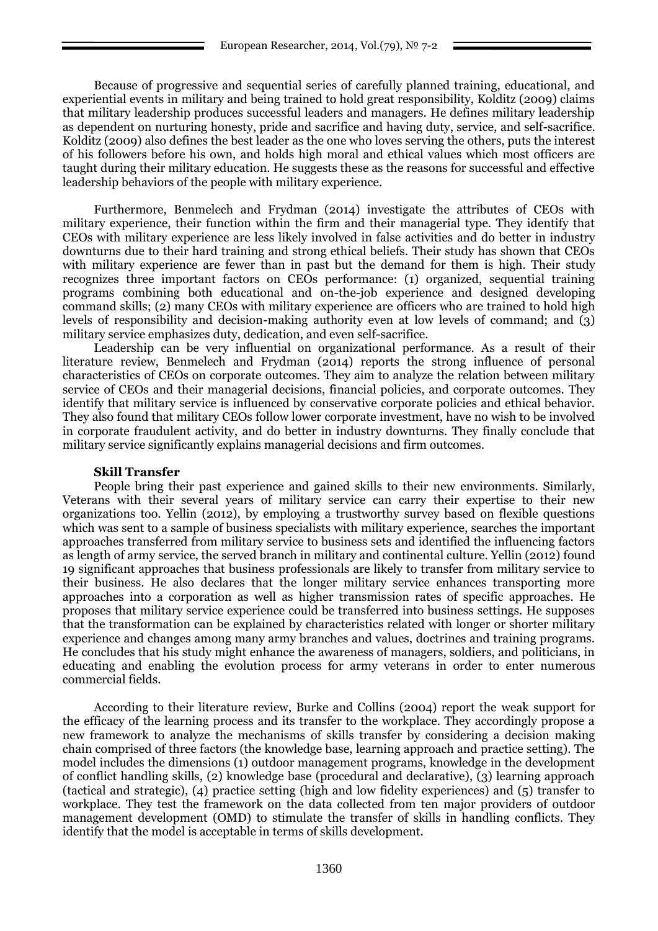Because of progressive and sequential series of carefully planned training, educational, and experiential events in military and being trained to hold great responsibility, Kolditz (2009) claims that military leadership produces successful leaders and managers. He defines military leadership as dependent on nurturing honesty, pride and sacrifice and having duty, service, and self-sacrifice. Kolditz (2009) also defines the best leader as the one who loves serving the others, puts the interest of his followers before his own, and holds high moral and ethical values which most officers are taught during their military education. He suggests these as the reasons for successful and effective leadership behaviors of the people with military experience.

Furthermore, Benmelech and Frydman (2014) investigate the attributes of CEOs with military experience, their function within the firm and their managerial type. They identify that CEOs with military experience are less likely involved in false activities and do better in industry downturns due to their hard training and strong ethical beliefs. Their study has shown that CEOs with military experience are fewer than in past but the demand for them is high. Their study recognizes three important factors on CEOs performance: (1) organized, sequential training programs combining both educational and on-the-job experience and designed developing command skills; (2) many CEOs with military experience are officers who are trained to hold high levels of responsibility and decision-making authority even at low levels of command; and (3) military service emphasizes duty, dedication, and even self-sacrifice.

Leadership can be very influential on organizational performance. As a result of their literature review, Benmelech and Frydman (2014) reports the strong influence of personal characteristics of CEOs on corporate outcomes. They aim to analyze the relation between military service of CEOs and their managerial decisions, financial policies, and corporate outcomes. They identify that military service is influenced by conservative corporate policies and ethical behavior. They also found that military CEOs follow lower corporate investment, have no wish to be involved in corporate fraudulent activity, and do better in industry downturns. They finally conclude that military service significantly explains managerial decisions and firm outcomes.

#### **Skill Transfer**

People bring their past experience and gained skills to their new environments. Similarly, Veterans with their several years of military service can carry their expertise to their new organizations too. Yellin (2012), by employing a trustworthy survey based on flexible questions which was sent to a sample of business specialists with military experience, searches the important approaches transferred from military service to business sets and identified the influencing factors as length of army service, the served branch in military and continental culture. Yellin (2012) found 19 significant approaches that business professionals are likely to transfer from military service to their business. He also declares that the longer military service enhances transporting more approaches into a corporation as well as higher transmission rates of specific approaches. He proposes that military service experience could be transferred into business settings. He supposes that the transformation can be explained by characteristics related with longer or shorter military experience and changes among many army branches and values, doctrines and training programs. He concludes that his study might enhance the awareness of managers, soldiers, and politicians, in educating and enabling the evolution process for army veterans in order to enter numerous commercial fields.

According to their literature review, Burke and Collins (2004) report the weak support for the efficacy of the learning process and its transfer to the workplace. They accordingly propose a new framework to analyze the mechanisms of skills transfer by considering a decision making chain comprised of three factors (the knowledge base, learning approach and practice setting). The model includes the dimensions (1) outdoor management programs, knowledge in the development of conflict handling skills, (2) knowledge base (procedural and declarative), (3) learning approach (tactical and strategic), (4) practice setting (high and low fidelity experiences) and (5) transfer to workplace. They test the framework on the data collected from ten major providers of outdoor management development (OMD) to stimulate the transfer of skills in handling conflicts. They identify that the model is acceptable in terms of skills development.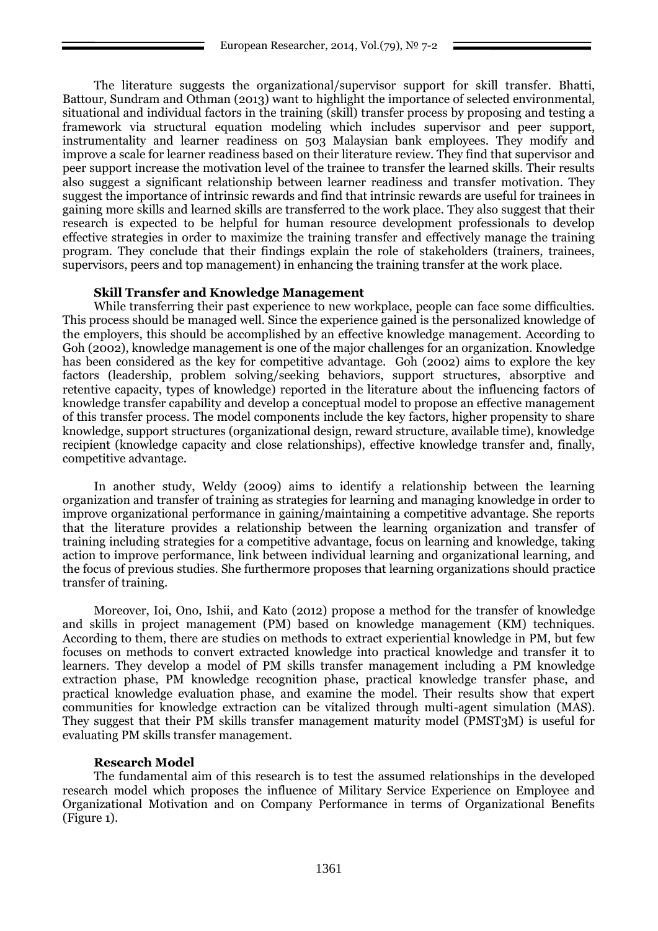The literature suggests the organizational/supervisor support for skill transfer. Bhatti, Battour, Sundram and Othman (2013) want to highlight the importance of selected environmental, situational and individual factors in the training (skill) transfer process by proposing and testing a framework via structural equation modeling which includes supervisor and peer support, instrumentality and learner readiness on 503 Malaysian bank employees. They modify and improve a scale for learner readiness based on their literature review. They find that supervisor and peer support increase the motivation level of the trainee to transfer the learned skills. Their results also suggest a significant relationship between learner readiness and transfer motivation. They suggest the importance of intrinsic rewards and find that intrinsic rewards are useful for trainees in gaining more skills and learned skills are transferred to the work place. They also suggest that their research is expected to be helpful for human resource development professionals to develop effective strategies in order to maximize the training transfer and effectively manage the training program. They conclude that their findings explain the role of stakeholders (trainers, trainees, supervisors, peers and top management) in enhancing the training transfer at the work place.

### **Skill Transfer and Knowledge Management**

While transferring their past experience to new workplace, people can face some difficulties. This process should be managed well. Since the experience gained is the personalized knowledge of the employers, this should be accomplished by an effective knowledge management. According to Goh (2002), knowledge management is one of the major challenges for an organization. Knowledge has been considered as the key for competitive advantage. Goh (2002) aims to explore the key factors (leadership, problem solving/seeking behaviors, support structures, absorptive and retentive capacity, types of knowledge) reported in the literature about the influencing factors of knowledge transfer capability and develop a conceptual model to propose an effective management of this transfer process. The model components include the key factors, higher propensity to share knowledge, support structures (organizational design, reward structure, available time), knowledge recipient (knowledge capacity and close relationships), effective knowledge transfer and, finally, competitive advantage.

In another study, Weldy (2009) aims to identify a relationship between the learning organization and transfer of training as strategies for learning and managing knowledge in order to improve organizational performance in gaining/maintaining a competitive advantage. She reports that the literature provides a relationship between the learning organization and transfer of training including strategies for a competitive advantage, focus on learning and knowledge, taking action to improve performance, link between individual learning and organizational learning, and the focus of previous studies. She furthermore proposes that learning organizations should practice transfer of training.

Moreover, Ioi, Ono, Ishii, and Kato (2012) propose a method for the transfer of knowledge and skills in project management (PM) based on knowledge management (KM) techniques. According to them, there are studies on methods to extract experiential knowledge in PM, but few focuses on methods to convert extracted knowledge into practical knowledge and transfer it to learners. They develop a model of PM skills transfer management including a PM knowledge extraction phase, PM knowledge recognition phase, practical knowledge transfer phase, and practical knowledge evaluation phase, and examine the model. Their results show that expert communities for knowledge extraction can be vitalized through multi-agent simulation (MAS). They suggest that their PM skills transfer management maturity model (PMST3M) is useful for evaluating PM skills transfer management.

#### **Research Model**

The fundamental aim of this research is to test the assumed relationships in the developed research model which proposes the influence of Military Service Experience on Employee and Organizational Motivation and on Company Performance in terms of Organizational Benefits (Figure 1).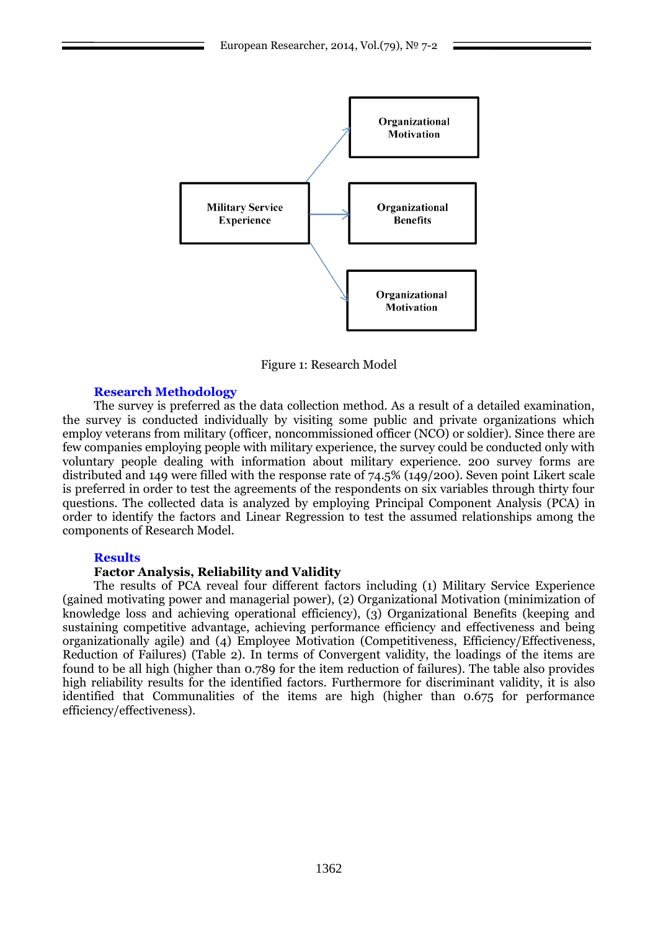

Figure 1: Research Model

## **Research Methodology**

The survey is preferred as the data collection method. As a result of a detailed examination, the survey is conducted individually by visiting some public and private organizations which employ veterans from military (officer, noncommissioned officer (NCO) or soldier). Since there are few companies employing people with military experience, the survey could be conducted only with voluntary people dealing with information about military experience. 200 survey forms are distributed and 149 were filled with the response rate of 74.5% (149/200). Seven point Likert scale is preferred in order to test the agreements of the respondents on six variables through thirty four questions. The collected data is analyzed by employing Principal Component Analysis (PCA) in order to identify the factors and Linear Regression to test the assumed relationships among the components of Research Model.

#### **Results**

## **Factor Analysis, Reliability and Validity**

The results of PCA reveal four different factors including (1) Military Service Experience (gained motivating power and managerial power), (2) Organizational Motivation (minimization of knowledge loss and achieving operational efficiency), (3) Organizational Benefits (keeping and sustaining competitive advantage, achieving performance efficiency and effectiveness and being organizationally agile) and (4) Employee Motivation (Competitiveness, Efficiency/Effectiveness, Reduction of Failures) (Table 2). In terms of Convergent validity, the loadings of the items are found to be all high (higher than 0.789 for the item reduction of failures). The table also provides high reliability results for the identified factors. Furthermore for discriminant validity, it is also identified that Communalities of the items are high (higher than 0.675 for performance efficiency/effectiveness).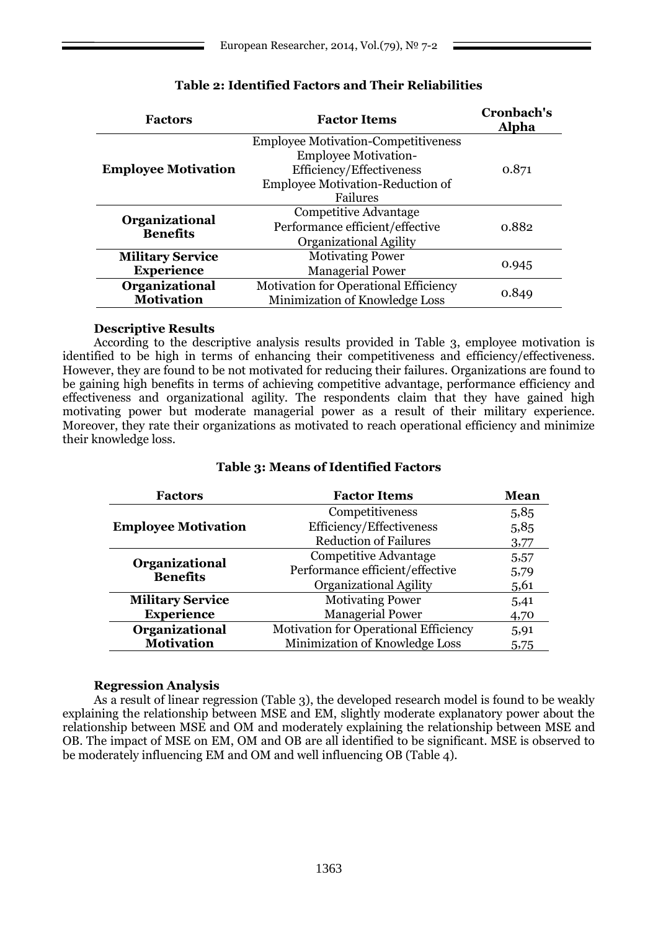| <b>Factors</b>                    | <b>Factor Items</b>                        | Cronbach's<br><b>Alpha</b> |  |
|-----------------------------------|--------------------------------------------|----------------------------|--|
| <b>Employee Motivation</b>        | <b>Employee Motivation-Competitiveness</b> | 0.871                      |  |
|                                   | <b>Employee Motivation-</b>                |                            |  |
|                                   | Efficiency/Effectiveness                   |                            |  |
|                                   | Employee Motivation-Reduction of           |                            |  |
|                                   | Failures                                   |                            |  |
| Organizational<br><b>Benefits</b> | <b>Competitive Advantage</b>               | 0.882                      |  |
|                                   | Performance efficient/effective            |                            |  |
|                                   | Organizational Agility                     |                            |  |
| <b>Military Service</b>           | <b>Motivating Power</b>                    |                            |  |
| <b>Experience</b>                 | <b>Managerial Power</b>                    | 0.945                      |  |
| Organizational                    | Motivation for Operational Efficiency      |                            |  |
| <b>Motivation</b>                 | Minimization of Knowledge Loss             | 0.849                      |  |
|                                   |                                            |                            |  |

# **Table 2: Identified Factors and Their Reliabilities**

## **Descriptive Results**

According to the descriptive analysis results provided in Table 3, employee motivation is identified to be high in terms of enhancing their competitiveness and efficiency/effectiveness. However, they are found to be not motivated for reducing their failures. Organizations are found to be gaining high benefits in terms of achieving competitive advantage, performance efficiency and effectiveness and organizational agility. The respondents claim that they have gained high motivating power but moderate managerial power as a result of their military experience. Moreover, they rate their organizations as motivated to reach operational efficiency and minimize their knowledge loss.

| <b>Factors</b>                    | <b>Factor Items</b>                          | <b>Mean</b> |
|-----------------------------------|----------------------------------------------|-------------|
|                                   | Competitiveness                              | 5,85        |
| <b>Employee Motivation</b>        | Efficiency/Effectiveness                     | 5,85        |
|                                   | <b>Reduction of Failures</b>                 | 3,77        |
| Organizational<br><b>Benefits</b> | <b>Competitive Advantage</b>                 | 5,57        |
|                                   | Performance efficient/effective              | 5,79        |
|                                   | Organizational Agility                       | 5,61        |
| <b>Military Service</b>           | <b>Motivating Power</b>                      | 5,41        |
| <b>Experience</b>                 | <b>Managerial Power</b>                      | 4,70        |
| Organizational                    | <b>Motivation for Operational Efficiency</b> | 5,91        |
| <b>Motivation</b>                 | Minimization of Knowledge Loss               | 5,75        |

# **Table 3: Means of Identified Factors**

### **Regression Analysis**

As a result of linear regression (Table 3), the developed research model is found to be weakly explaining the relationship between MSE and EM, slightly moderate explanatory power about the relationship between MSE and OM and moderately explaining the relationship between MSE and OB. The impact of MSE on EM, OM and OB are all identified to be significant. MSE is observed to be moderately influencing EM and OM and well influencing OB (Table 4).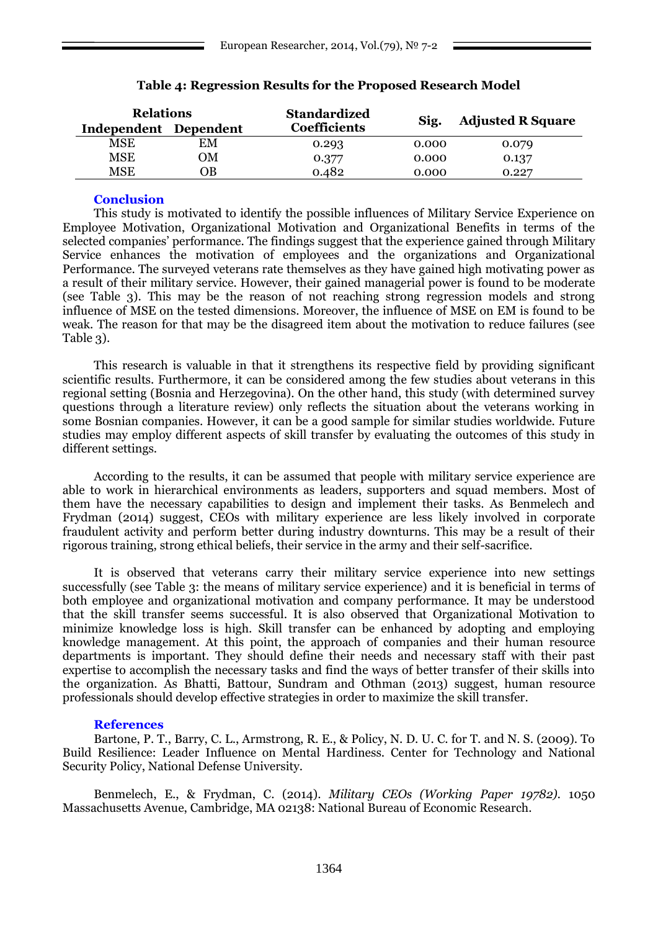| <b>Relations</b>      |    | <b>Standardized</b> |       | <b>Adjusted R Square</b> |
|-----------------------|----|---------------------|-------|--------------------------|
| Independent Dependent |    | <b>Coefficients</b> | Sig.  |                          |
| MSE                   | EM | 0.293               | 0.000 | 0.079                    |
| MSE                   | OМ | 0.377               | 0.000 | 0.137                    |
| MSE                   | ЭB | 0.482               | 0.000 | 0.227                    |

## **Table 4: Regression Results for the Proposed Research Model**

### **Conclusion**

This study is motivated to identify the possible influences of Military Service Experience on Employee Motivation, Organizational Motivation and Organizational Benefits in terms of the selected companies" performance. The findings suggest that the experience gained through Military Service enhances the motivation of employees and the organizations and Organizational Performance. The surveyed veterans rate themselves as they have gained high motivating power as a result of their military service. However, their gained managerial power is found to be moderate (see Table 3). This may be the reason of not reaching strong regression models and strong influence of MSE on the tested dimensions. Moreover, the influence of MSE on EM is found to be weak. The reason for that may be the disagreed item about the motivation to reduce failures (see Table 3).

This research is valuable in that it strengthens its respective field by providing significant scientific results. Furthermore, it can be considered among the few studies about veterans in this regional setting (Bosnia and Herzegovina). On the other hand, this study (with determined survey questions through a literature review) only reflects the situation about the veterans working in some Bosnian companies. However, it can be a good sample for similar studies worldwide. Future studies may employ different aspects of skill transfer by evaluating the outcomes of this study in different settings.

According to the results, it can be assumed that people with military service experience are able to work in hierarchical environments as leaders, supporters and squad members. Most of them have the necessary capabilities to design and implement their tasks. As Benmelech and Frydman (2014) suggest, CEOs with military experience are less likely involved in corporate fraudulent activity and perform better during industry downturns. This may be a result of their rigorous training, strong ethical beliefs, their service in the army and their self-sacrifice.

It is observed that veterans carry their military service experience into new settings successfully (see Table 3: the means of military service experience) and it is beneficial in terms of both employee and organizational motivation and company performance. It may be understood that the skill transfer seems successful. It is also observed that Organizational Motivation to minimize knowledge loss is high. Skill transfer can be enhanced by adopting and employing knowledge management. At this point, the approach of companies and their human resource departments is important. They should define their needs and necessary staff with their past expertise to accomplish the necessary tasks and find the ways of better transfer of their skills into the organization. As Bhatti, Battour, Sundram and Othman (2013) suggest, human resource professionals should develop effective strategies in order to maximize the skill transfer.

#### **References**

Bartone, P. T., Barry, C. L., Armstrong, R. E., & Policy, N. D. U. C. for T. and N. S. (2009). To Build Resilience: Leader Influence on Mental Hardiness. Center for Technology and National Security Policy, National Defense University.

Benmelech, E., & Frydman, C. (2014). *Military CEOs (Working Paper 19782).* 1050 Massachusetts Avenue, Cambridge, MA 02138: National Bureau of Economic Research.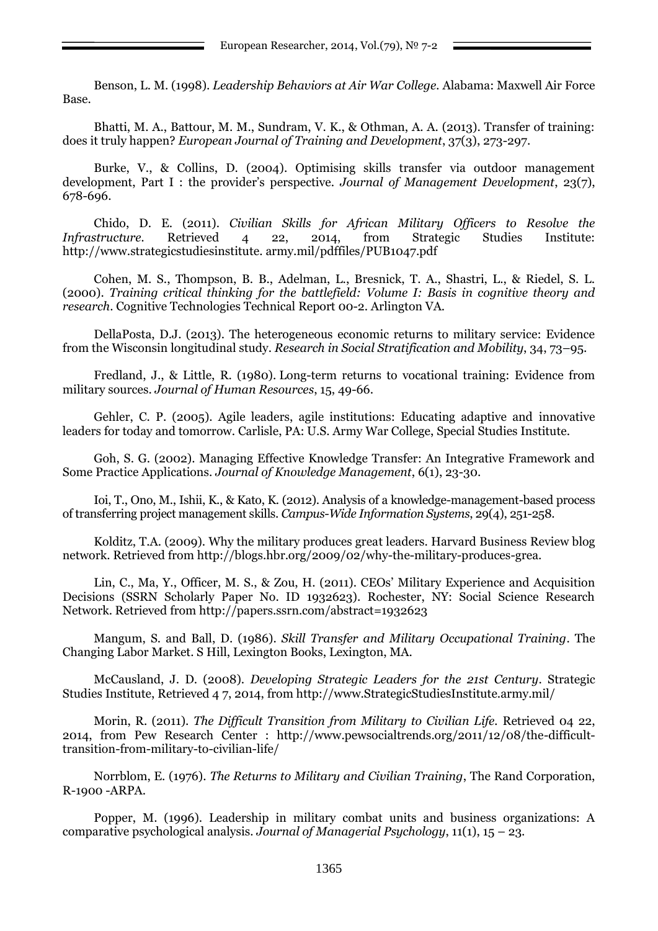Benson, L. M. (1998). *Leadership Behaviors at Air War College.* Alabama: Maxwell Air Force Base.

Bhatti, M. A., Battour, M. M., Sundram, V. K., & Othman, A. A. (2013). Transfer of training: does it truly happen? *European Journal of Training and Development*, 37(3), 273-297.

Burke, V., & Collins, D. (2004). Optimising skills transfer via outdoor management development, Part I : the provider"s perspective. *Journal of Management Development*, 23(7), 678-696.

Chido, D. E. (2011). *Civilian Skills for African Military Officers to Resolve the Infrastructure.* Retrieved 4 22, 2014, from Strategic Studies Institute: [http://www.strategicstudiesinstitute.](http://www.strategicstudiesinstitute/) army.mil/pdffiles/PUB1047.pdf

Cohen, M. S., Thompson, B. B., Adelman, L., Bresnick, T. A., Shastri, L., & Riedel, S. L. (2000). *Training critical thinking for the battlefield: Volume I: Basis in cognitive theory and research*. Cognitive Technologies Technical Report 00-2. Arlington VA.

[DellaPosta,](http://www.sciencedirect.com/science/article/pii/S0276562413000371) D.J. (2013). The heterogeneous economic returns to military service: Evidence from the Wisconsin longitudinal study. *Research in Social [Stratification](http://www.sciencedirect.com/science/journal/02765624) and Mobility*, 34, 73–95.

Fredland, J., & Little, R. (1980). [Long-term returns to vocational training: Evidence from](http://www.jstor.org/stable/145346)  [military sources.](http://www.jstor.org/stable/145346) *Journal of Human Resources*, 15, 49-66.

Gehler, C. P. (2005). Agile leaders, agile institutions: Educating adaptive and innovative leaders for today and tomorrow. Carlisle, PA: U.S. Army War College, Special Studies Institute.

Goh, S. G. (2002). Managing Effective Knowledge Transfer: An Integrative Framework and Some Practice Applications. *Journal of Knowledge Management*, 6(1), 23-30.

Ioi, T., Ono, M., Ishii, K., & Kato, K. (2012). Analysis of a knowledge-management-based process of transferring project management skills. *Campus-Wide Information Systems*, 29(4), 251-258.

Kolditz, T.A. (2009). Why the military produces great leaders. Harvard Business Review blog network. Retrieved from [http://blogs.hbr.org/2009/02/why-the-military-produces-grea.](http://blogs.hbr.org/2009/02/why-the-military-produces-grea)

Lin, C., Ma, Y., Officer, M. S., & Zou, H. (2011). CEOs" Military Experience and Acquisition Decisions (SSRN Scholarly Paper No. ID 1932623). Rochester, NY: Social Science Research Network. Retrieved from<http://papers.ssrn.com/abstract=1932623>

Mangum, S. and Ball, D. (1986). *Skill Transfer and Military Occupational Training*. The Changing Labor Market. S Hill, Lexington Books, Lexington, MA.

McCausland, J. D. (2008). *Developing Strategic Leaders for the 21st Century*. Strategic Studies Institute, Retrieved 4 7, 2014, from http://www.StrategicStudiesInstitute.army.mil/

Morin, R. (2011). *The Difficult Transition from Military to Civilian Life.* Retrieved 04 22, 2014, from Pew Research Center : http://www.pewsocialtrends.org/2011/12/08/the-difficulttransition-from-military-to-civilian-life/

Norrblom, E. (1976). *The Returns to Military and Civilian Training*, The Rand Corporation, R-1900 -ARPA.

Popper, M. (1996). Leadership in military combat units and business organizations: A comparative psychological analysis. *Journal of Managerial Psychology*, 11(1), 15 – 23.